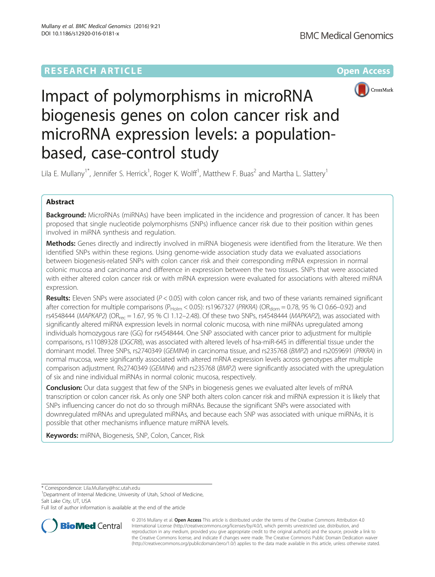# **RESEARCH ARTICLE Example 2014 12:30 The Community Community Community Community Community Community Community**



Impact of polymorphisms in microRNA biogenesis genes on colon cancer risk and microRNA expression levels: a populationbased, case-control study

Lila E. Mullany<sup>1\*</sup>, Jennifer S. Herrick<sup>1</sup>, Roger K. Wolff<sup>1</sup>, Matthew F. Buas<sup>2</sup> and Martha L. Slattery<sup>1</sup>

## Abstract

Background: MicroRNAs (miRNAs) have been implicated in the incidence and progression of cancer. It has been proposed that single nucleotide polymorphisms (SNPs) influence cancer risk due to their position within genes involved in miRNA synthesis and regulation.

Methods: Genes directly and indirectly involved in miRNA biogenesis were identified from the literature. We then identified SNPs within these regions. Using genome-wide association study data we evaluated associations between biogenesis-related SNPs with colon cancer risk and their corresponding mRNA expression in normal colonic mucosa and carcinoma and difference in expression between the two tissues. SNPs that were associated with either altered colon cancer risk or with mRNA expression were evaluated for associations with altered miRNA expression.

Results: Eleven SNPs were associated ( $P < 0.05$ ) with colon cancer risk, and two of these variants remained significant after correction for multiple comparisons ( $P_{\text{Holm}}$  < 0.05): rs1967327 ( $PRKRA$ ) ( $OR_{\text{dom}}$  = 0.78, 95 % CI 0.66–0.92) and rs4548444 (MAPKAP2) (OR<sub>rec</sub> = 1.67, 95 % CI 1.12–2.48). Of these two SNPs, rs4548444 (MAPKAP2), was associated with significantly altered miRNA expression levels in normal colonic mucosa, with nine miRNAs upregulated among individuals homozygous rare (GG) for rs4548444. One SNP associated with cancer prior to adjustment for multiple comparisons, rs11089328 (DGCR8), was associated with altered levels of hsa-miR-645 in differential tissue under the dominant model. Three SNPs, rs2740349 (GEMIN4) in carcinoma tissue, and rs235768 (BMP2) and rs2059691 (PRKRA) in normal mucosa, were significantly associated with altered mRNA expression levels across genotypes after multiple comparison adjustment. Rs2740349 (GEMIN4) and rs235768 (BMP2) were significantly associated with the upregulation of six and nine individual miRNAs in normal colonic mucosa, respectively.

**Conclusion:** Our data suggest that few of the SNPs in biogenesis genes we evaluated alter levels of mRNA transcription or colon cancer risk. As only one SNP both alters colon cancer risk and miRNA expression it is likely that SNPs influencing cancer do not do so through miRNAs. Because the significant SNPs were associated with downregulated mRNAs and upregulated miRNAs, and because each SNP was associated with unique miRNAs, it is possible that other mechanisms influence mature miRNA levels.

Keywords: miRNA, Biogenesis, SNP, Colon, Cancer, Risk

\* Correspondence: [Lila.Mullany@hsc.utah.edu](mailto:Lila.Mullany@hsc.utah.edu) <sup>1</sup>

<sup>1</sup>Department of Internal Medicine, University of Utah, School of Medicine, Salt Lake City, UT, USA

Full list of author information is available at the end of the article



© 2016 Mullany et al. Open Access This article is distributed under the terms of the Creative Commons Attribution 4.0 International License [\(http://creativecommons.org/licenses/by/4.0/](http://creativecommons.org/licenses/by/4.0/)), which permits unrestricted use, distribution, and reproduction in any medium, provided you give appropriate credit to the original author(s) and the source, provide a link to the Creative Commons license, and indicate if changes were made. The Creative Commons Public Domain Dedication waiver [\(http://creativecommons.org/publicdomain/zero/1.0/](http://creativecommons.org/publicdomain/zero/1.0/)) applies to the data made available in this article, unless otherwise stated.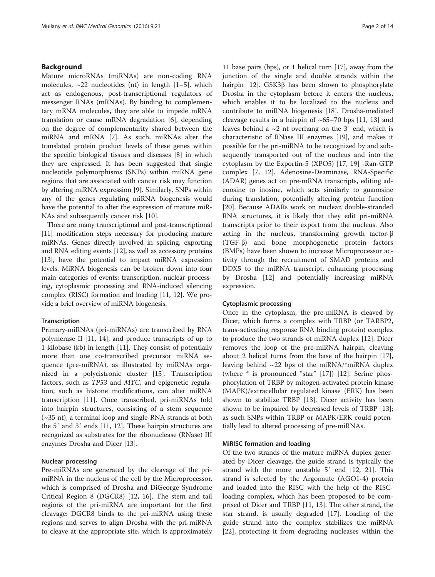## Background

Mature microRNAs (miRNAs) are non-coding RNA molecules,  $\sim$ 22 nucleotides (nt) in length [[1](#page-12-0)–[5](#page-13-0)], which act as endogenous, post-transcriptional regulators of messenger RNAs (mRNAs). By binding to complementary mRNA molecules, they are able to impede mRNA translation or cause mRNA degradation [\[6](#page-13-0)], depending on the degree of complementarity shared between the miRNA and mRNA [[7](#page-13-0)]. As such, miRNAs alter the translated protein product levels of these genes within the specific biological tissues and diseases [[8\]](#page-13-0) in which they are expressed. It has been suggested that single nucleotide polymorphisms (SNPs) within miRNA gene regions that are associated with cancer risk may function by altering miRNA expression [\[9](#page-13-0)]. Similarly, SNPs within any of the genes regulating miRNA biogenesis would have the potential to alter the expression of mature miR-NAs and subsequently cancer risk [\[10](#page-13-0)].

There are many transcriptional and post-transcriptional [[11](#page-13-0)] modification steps necessary for producing mature miRNAs. Genes directly involved in splicing, exporting and RNA editing events [\[12\]](#page-13-0), as well as accessory proteins [[13](#page-13-0)], have the potential to impact miRNA expression levels. MiRNA biogenesis can be broken down into four main categories of events: transcription, nuclear processing, cytoplasmic processing and RNA-induced silencing complex (RISC) formation and loading [\[11, 12\]](#page-13-0). We provide a brief overview of miRNA biogenesis.

#### **Transcription**

Primary-miRNAs (pri-miRNAs) are transcribed by RNA polymerase II [[11, 14](#page-13-0)], and produce transcripts of up to 1 kilobase (kb) in length [\[11](#page-13-0)]. They consist of potentially more than one co-transcribed precursor miRNA sequence (pre-miRNA), as illustrated by miRNAs organized in a polycistronic cluster [[15\]](#page-13-0). Transcription factors, such as TP53 and MYC, and epigenetic regulation, such as histone modifications, can alter miRNA transcription [[11\]](#page-13-0). Once transcribed, pri-miRNAs fold into hairpin structures, consisting of a stem sequence (~35 nt), a terminal loop and single-RNA strands at both the 5′ and 3′ ends [\[11](#page-13-0), [12](#page-13-0)]. These hairpin structures are recognized as substrates for the ribonuclease (RNase) III enzymes Drosha and Dicer [\[13](#page-13-0)].

### Nuclear processing

Pre-miRNAs are generated by the cleavage of the primiRNA in the nucleus of the cell by the Microprocessor, which is comprised of Drosha and DiGeorge Syndrome Critical Region 8 (DGCR8) [[12](#page-13-0), [16\]](#page-13-0). The stem and tail regions of the pri-miRNA are important for the first cleavage: DGCR8 binds to the pri-miRNA using these regions and serves to align Drosha with the pri-miRNA to cleave at the appropriate site, which is approximately

11 base pairs (bps), or 1 helical turn [\[17\]](#page-13-0), away from the junction of the single and double strands within the hairpin [[12](#page-13-0)]. GSK3β has been shown to phosphorylate Drosha in the cytoplasm before it enters the nucleus, which enables it to be localized to the nucleus and contribute to miRNA biogenesis [[18](#page-13-0)]. Drosha-mediated cleavage results in a hairpin of  $~5$ –70 bps [[11](#page-13-0), [13\]](#page-13-0) and leaves behind a  $\sim$ 2 nt overhang on the 3<sup>'</sup> end, which is characteristic of RNase III enzymes [[19](#page-13-0)], and makes it possible for the pri-miRNA to be recognized by and subsequently transported out of the nucleus and into the cytoplasm by the Exportin-5 (XPO5) [\[17, 19](#page-13-0)] -Ran-GTP complex [[7, 12\]](#page-13-0). Adenosine-Deaminase, RNA-Specific (ADAR) genes act on pre-mRNA transcripts, editing adenosine to inosine, which acts similarly to guanosine during translation, potentially altering protein function [[20\]](#page-13-0). Because ADARs work on nuclear, double-stranded RNA structures, it is likely that they edit pri-miRNA transcripts prior to their export from the nucleus. Also acting in the nucleus, transforming growth factor-β (TGF-β) and bone morphogenetic protein factors (BMPs) have been shown to increase Microprocessor activity through the recruitment of SMAD proteins and DDX5 to the miRNA transcript, enhancing processing by Drosha [[12\]](#page-13-0) and potentially increasing miRNA expression.

#### Cytoplasmic processing

Once in the cytoplasm, the pre-miRNA is cleaved by Dicer, which forms a complex with TRBP (or TARBP2, trans-activating response RNA binding protein) complex to produce the two strands of miRNA duplex [\[12](#page-13-0)]. Dicer removes the loop of the pre-miRNA hairpin, cleaving about 2 helical turns from the base of the hairpin [\[17](#page-13-0)], leaving behind  $\sim$ 22 bps of the miRNA/\*miRNA duplex (where \* is pronounced "star" [\[17\]](#page-13-0)) [\[12](#page-13-0)]. Serine phosphorylation of TRBP by mitogen-activated protein kinase (MAPK)/extracellular regulated kinase (ERK) has been shown to stabilize TRBP [\[13\]](#page-13-0). Dicer activity has been shown to be impaired by decreased levels of TRBP [\[13](#page-13-0)]; as such SNPs within TRBP or MAPK/ERK could potentially lead to altered processing of pre-miRNAs.

#### MiRISC formation and loading

Of the two strands of the mature miRNA duplex generated by Dicer cleavage, the guide strand is typically the strand with the more unstable 5′ end [\[12](#page-13-0), [21\]](#page-13-0). This strand is selected by the Argonaute (AGO1-4) protein and loaded into the RISC with the help of the RISCloading complex, which has been proposed to be comprised of Dicer and TRBP [\[11](#page-13-0), [13](#page-13-0)]. The other strand, the star strand, is usually degraded [[17\]](#page-13-0). Loading of the guide strand into the complex stabilizes the miRNA [[22\]](#page-13-0), protecting it from degrading nucleases within the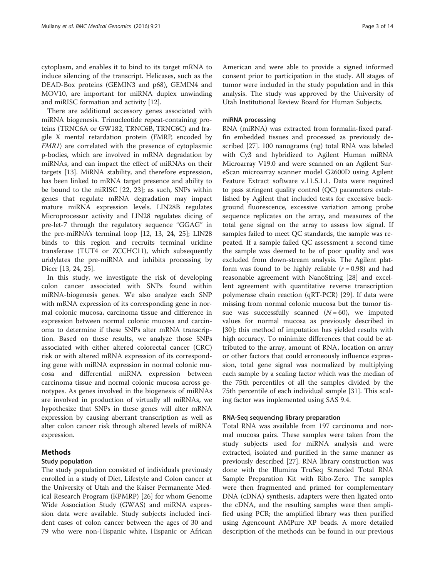cytoplasm, and enables it to bind to its target mRNA to induce silencing of the transcript. Helicases, such as the DEAD-Box proteins (GEMIN3 and p68), GEMIN4 and MOV10, are important for miRNA duplex unwinding and miRISC formation and activity [[12\]](#page-13-0).

There are additional accessory genes associated with miRNA biogenesis. Trinucleotide repeat-containing proteins (TRNC6A or GW182, TRNC6B, TRNC6C) and fragile X mental retardation protein (FMRP, encoded by FMR1) are correlated with the presence of cytoplasmic p-bodies, which are involved in mRNA degradation by miRNAs, and can impact the effect of miRNAs on their targets [\[13](#page-13-0)]. MiRNA stability, and therefore expression, has been linked to mRNA target presence and ability to be bound to the miRISC [[22](#page-13-0), [23](#page-13-0)]; as such, SNPs within genes that regulate mRNA degradation may impact mature miRNA expression levels. LIN28B regulates Microprocessor activity and LIN28 regulates dicing of pre-let-7 through the regulatory sequence "GGAG" in the pre-miRNA's terminal loop [\[12](#page-13-0), [13, 24](#page-13-0), [25\]](#page-13-0); LIN28 binds to this region and recruits terminal uridine transferase (TUT4 or ZCCHC11), which subsequently uridylates the pre-miRNA and inhibits processing by Dicer [[13, 24, 25\]](#page-13-0).

In this study, we investigate the risk of developing colon cancer associated with SNPs found within miRNA-biogenesis genes. We also analyze each SNP with mRNA expression of its corresponding gene in normal colonic mucosa, carcinoma tissue and difference in expression between normal colonic mucosa and carcinoma to determine if these SNPs alter mRNA transcription. Based on these results, we analyze those SNPs associated with either altered colorectal cancer (CRC) risk or with altered mRNA expression of its corresponding gene with miRNA expression in normal colonic mucosa and differential miRNA expression between carcinoma tissue and normal colonic mucosa across genotypes. As genes involved in the biogenesis of miRNAs are involved in production of virtually all miRNAs, we hypothesize that SNPs in these genes will alter mRNA expression by causing aberrant transcription as well as alter colon cancer risk through altered levels of miRNA expression.

## Methods

## Study population

The study population consisted of individuals previously enrolled in a study of Diet, Lifestyle and Colon cancer at the University of Utah and the Kaiser Permanente Medical Research Program (KPMRP) [[26](#page-13-0)] for whom Genome Wide Association Study (GWAS) and miRNA expression data were available. Study subjects included incident cases of colon cancer between the ages of 30 and 79 who were non-Hispanic white, Hispanic or African American and were able to provide a signed informed consent prior to participation in the study. All stages of tumor were included in the study population and in this analysis. The study was approved by the University of Utah Institutional Review Board for Human Subjects.

### miRNA processing

RNA (miRNA) was extracted from formalin-fixed paraffin embedded tissues and processed as previously described [\[27](#page-13-0)]. 100 nanograms (ng) total RNA was labeled with Cy3 and hybridized to Agilent Human miRNA Microarray V19.0 and were scanned on an Agilent SureScan microarray scanner model G2600D using Agilent Feature Extract software v.11.5.1.1. Data were required to pass stringent quality control (QC) parameters established by Agilent that included tests for excessive background fluorescence, excessive variation among probe sequence replicates on the array, and measures of the total gene signal on the array to assess low signal. If samples failed to meet QC standards, the sample was repeated. If a sample failed QC assessment a second time the sample was deemed to be of poor quality and was excluded from down-stream analysis. The Agilent platform was found to be highly reliable  $(r = 0.98)$  and had reasonable agreement with NanoString [\[28](#page-13-0)] and excellent agreement with quantitative reverse transcription polymerase chain reaction (qRT-PCR) [[29](#page-13-0)]. If data were missing from normal colonic mucosa but the tumor tissue was successfully scanned  $(N = 60)$ , we imputed values for normal mucosa as previously described in [[30\]](#page-13-0); this method of imputation has yielded results with high accuracy. To minimize differences that could be attributed to the array, amount of RNA, location on array or other factors that could erroneously influence expression, total gene signal was normalized by multiplying each sample by a scaling factor which was the median of the 75th percentiles of all the samples divided by the 75th percentile of each individual sample [\[31](#page-13-0)]. This scaling factor was implemented using SAS 9.4.

## RNA-Seq sequencing library preparation

Total RNA was available from 197 carcinoma and normal mucosa pairs. These samples were taken from the study subjects used for miRNA analysis and were extracted, isolated and purified in the same manner as previously described [\[27](#page-13-0)]. RNA library construction was done with the Illumina TruSeq Stranded Total RNA Sample Preparation Kit with Ribo-Zero. The samples were then fragmented and primed for complementary DNA (cDNA) synthesis, adapters were then ligated onto the cDNA, and the resulting samples were then amplified using PCR; the amplified library was then purified using Agencount AMPure XP beads. A more detailed description of the methods can be found in our previous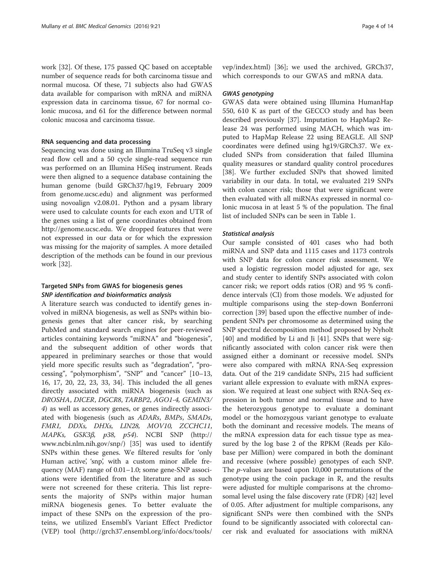work [[32](#page-13-0)]. Of these, 175 passed QC based on acceptable number of sequence reads for both carcinoma tissue and normal mucosa. Of these, 71 subjects also had GWAS data available for comparison with mRNA and miRNA expression data in carcinoma tissue, 67 for normal colonic mucosa, and 61 for the difference between normal colonic mucosa and carcinoma tissue.

#### RNA sequencing and data processing

Sequencing was done using an Illumina TruSeq v3 single read flow cell and a 50 cycle single-read sequence run was performed on an Illumina HiSeq instrument. Reads were then aligned to a sequence database containing the human genome (build GRCh37/hg19, February 2009 from genome.ucsc.edu) and alignment was performed using novoalign v2.08.01. Python and a pysam library were used to calculate counts for each exon and UTR of the genes using a list of gene coordinates obtained from [http://genome.ucsc.edu](http://genome.ucsc.edu/). We dropped features that were not expressed in our data or for which the expression was missing for the majority of samples. A more detailed description of the methods can be found in our previous work [\[32](#page-13-0)].

## Targeted SNPs from GWAS for biogenesis genes SNP identification and bioinformatics analysis

A literature search was conducted to identify genes involved in miRNA biogenesis, as well as SNPs within biogenesis genes that alter cancer risk, by searching PubMed and standard search engines for peer-reviewed articles containing keywords "miRNA" and "biogenesis", and the subsequent addition of other words that appeared in preliminary searches or those that would yield more specific results such as "degradation", "processing", "polymorphism", "SNP" and "cancer" [[10](#page-13-0)–[13](#page-13-0), [16, 17, 20](#page-13-0), [22, 23](#page-13-0), [33](#page-13-0), [34\]](#page-13-0). This included the all genes directly associated with miRNA biogenesis (such as DROSHA, DICER, DGCR8, TARBP2, AGO1-4, GEMIN3/ 4) as well as accessory genes, or genes indirectly associated with biogenesis (such as ADARs, BMPs, SMADs, FMR1, DDXs, DHXs, LIN28, MOV10, ZCCHC11, MAPKs, GSK3β, p38, p54). NCBI SNP [\(http://](http://www.ncbi.nlm.nih.gov/snp/) [www.ncbi.nlm.nih.gov/snp/\)](http://www.ncbi.nlm.nih.gov/snp/) [[35\]](#page-13-0) was used to identify SNPs within these genes. We filtered results for 'only Human active, 'snp', with a custom minor allele frequency (MAF) range of 0.01–1.0; some gene-SNP associations were identified from the literature and as such were not screened for these criteria. This list represents the majority of SNPs within major human miRNA biogenesis genes. To better evaluate the impact of these SNPs on the expression of the proteins, we utilized Ensembl's Variant Effect Predictor (VEP) tool ([http://grch37.ensembl.org/info/docs/tools/](http://grch37.ensembl.org/info/docs/tools/vep/index.html) [vep/index.html](http://grch37.ensembl.org/info/docs/tools/vep/index.html)) [[36\]](#page-13-0); we used the archived, GRCh37, which corresponds to our GWAS and mRNA data.

#### GWAS genotyping

GWAS data were obtained using Illumina HumanHap 550, 610 K as part of the GECCO study and has been described previously [\[37\]](#page-13-0). Imputation to HapMap2 Release 24 was performed using MACH, which was imputed to HapMap Release 22 using BEAGLE. All SNP coordinates were defined using hg19/GRCh37. We excluded SNPs from consideration that failed Illumina quality measures or standard quality control procedures [[38\]](#page-13-0). We further excluded SNPs that showed limited variability in our data. In total, we evaluated 219 SNPs with colon cancer risk; those that were significant were then evaluated with all miRNAs expressed in normal colonic mucosa in at least 5 % of the population. The final list of included SNPs can be seen in Table [1.](#page-4-0)

#### Statistical analysis

Our sample consisted of 401 cases who had both miRNA and SNP data and 1115 cases and 1173 controls with SNP data for colon cancer risk assessment. We used a logistic regression model adjusted for age, sex and study center to identify SNPs associated with colon cancer risk; we report odds ratios (OR) and 95 % confidence intervals (CI) from those models. We adjusted for multiple comparisons using the step-down Bonferroni correction [[39\]](#page-13-0) based upon the effective number of independent SNPs per chromosome as determined using the SNP spectral decomposition method proposed by Nyholt [[40\]](#page-13-0) and modified by Li and Ji [[41\]](#page-13-0). SNPs that were significantly associated with colon cancer risk were then assigned either a dominant or recessive model. SNPs were also compared with mRNA RNA-Seq expression data. Out of the 219 candidate SNPs, 215 had sufficient variant allele expression to evaluate with mRNA expression. We required at least one subject with RNA-Seq expression in both tumor and normal tissue and to have the heterozygous genotype to evaluate a dominant model or the homozygous variant genotype to evaluate both the dominant and recessive models. The means of the mRNA expression data for each tissue type as measured by the log base 2 of the RPKM (Reads per Kilobase per Million) were compared in both the dominant and recessive (where possible) genotypes of each SNP. The  $p$ -values are based upon 10,000 permutations of the genotype using the coin package in R, and the results were adjusted for multiple comparisons at the chromosomal level using the false discovery rate (FDR) [\[42](#page-13-0)] level of 0.05. After adjustment for multiple comparisons, any significant SNPs were then combined with the SNPs found to be significantly associated with colorectal cancer risk and evaluated for associations with miRNA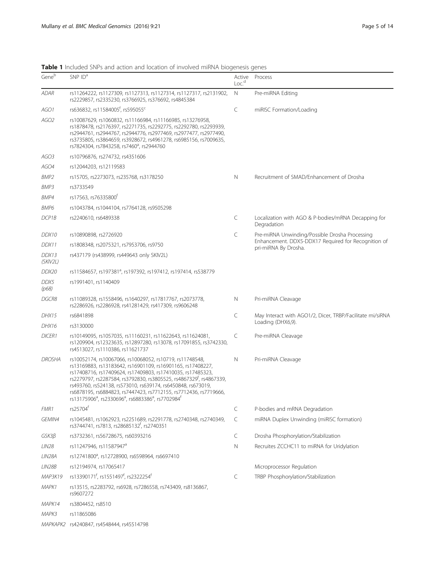<span id="page-4-0"></span>

|  |  |  |  | <b>Table 1</b> Included SNPs and action and location of involved miRNA biogenesis genes |  |
|--|--|--|--|-----------------------------------------------------------------------------------------|--|
|  |  |  |  |                                                                                         |  |

| Geneb             | $SNP$ $IDa$                                                                                                                                                                                                                                                                                                                                                                                                                                                                                                          | Active<br>Loc <sup>d</sup> | Process                                                                     |
|-------------------|----------------------------------------------------------------------------------------------------------------------------------------------------------------------------------------------------------------------------------------------------------------------------------------------------------------------------------------------------------------------------------------------------------------------------------------------------------------------------------------------------------------------|----------------------------|-----------------------------------------------------------------------------|
| ADAR              | rs11264222, rs1127309, rs1127313, rs1127314, rs1127317, rs2131902,<br>rs2229857, rs2335230, rs3766925, rs376692, rs4845384                                                                                                                                                                                                                                                                                                                                                                                           | N                          | Pre-miRNA Editing                                                           |
| AGO1              | rs636832, rs11584005 <sup>f</sup> , rs595055 <sup>c</sup>                                                                                                                                                                                                                                                                                                                                                                                                                                                            | C                          | miRISC Formation/Loading                                                    |
| AGO2              | rs10087629, rs1060832, rs11166984, rs11166985, rs13276958,<br>rs1878478, rs2176397, rs2271735, rs2292775, rs2292780, rs2293939,<br>rs2944761, rs2944767, rs2944776, rs2977469, rs2977477, rs2977490,<br>rs3735805, rs3864659, rs3928672, rs4961278, rs6985156, rs7009635,<br>rs7824304, rs7843258, rs7460 <sup>a</sup> , rs2944760                                                                                                                                                                                   |                            |                                                                             |
| AGO3              | rs10796876, rs274732, rs4351606                                                                                                                                                                                                                                                                                                                                                                                                                                                                                      |                            |                                                                             |
| AGO4              | rs12044203, rs12119583                                                                                                                                                                                                                                                                                                                                                                                                                                                                                               |                            |                                                                             |
| BMP <sub>2</sub>  | rs15705, rs2273073, rs235768, rs3178250                                                                                                                                                                                                                                                                                                                                                                                                                                                                              | N                          | Recruitment of SMAD/Enhancement of Drosha                                   |
| BMP3              | rs3733549                                                                                                                                                                                                                                                                                                                                                                                                                                                                                                            |                            |                                                                             |
| BMP4              | rs17563, rs76335800f                                                                                                                                                                                                                                                                                                                                                                                                                                                                                                 |                            |                                                                             |
| BMP6              | rs1043784, rs1044104, rs7764128, rs9505298                                                                                                                                                                                                                                                                                                                                                                                                                                                                           |                            |                                                                             |
| DCP1B             | rs2240610, rs6489338                                                                                                                                                                                                                                                                                                                                                                                                                                                                                                 | C                          | Localization with AGO & P-bodies/mRNA Decapping for<br>Degradation          |
| DDX10             | rs10890898, rs2726920                                                                                                                                                                                                                                                                                                                                                                                                                                                                                                | C                          | Pre-miRNA Unwinding/Possible Drosha Processing                              |
| DDX11             | rs1808348, rs2075321, rs7953706, rs9750                                                                                                                                                                                                                                                                                                                                                                                                                                                                              |                            | Enhancement. DDX5-DDX17 Required for Recognition of<br>pri-miRNA By Drosha. |
| DDX13<br>(SKIV2L) | rs437179 (rs438999, rs449643 only SKIV2L)                                                                                                                                                                                                                                                                                                                                                                                                                                                                            |                            |                                                                             |
| DDX20             | rs11584657, rs197381 <sup>a</sup> , rs197392, rs197412, rs197414, rs538779                                                                                                                                                                                                                                                                                                                                                                                                                                           |                            |                                                                             |
| DDX5<br>(p68)     | rs1991401, rs1140409                                                                                                                                                                                                                                                                                                                                                                                                                                                                                                 |                            |                                                                             |
| DGCR8             | rs11089328, rs1558496, rs1640297, rs17817767, rs2073778,<br>rs2286926, rs2286928, rs41281429, rs417309, rs9606248                                                                                                                                                                                                                                                                                                                                                                                                    | N                          | Pri-miRNA Cleavage                                                          |
| DHX15             | rs6841898                                                                                                                                                                                                                                                                                                                                                                                                                                                                                                            | C                          | May Interact with AGO1/2, Dicer, TRBP/Facilitate mi/siRNA                   |
| <b>DHX16</b>      | rs3130000                                                                                                                                                                                                                                                                                                                                                                                                                                                                                                            |                            | Loading (DHX6,9).                                                           |
| <b>DICER1</b>     | rs10149095, rs1057035, rs11160231, rs11622643, rs11624081,<br>rs1209904, rs12323635, rs12897280, rs13078, rs17091855, rs3742330,<br>rs4513027, rs1110386, rs11621737                                                                                                                                                                                                                                                                                                                                                 | C                          | Pre-miRNA Cleavage                                                          |
| DROSHA            | rs10052174, rs10067066, rs10068052, rs10719, rs11748548,<br>rs13169883, rs13183642, rs16901109, rs16901165, rs17408227,<br>rs17408716, rs17409624, rs17409803, rs17410035, rs17485323,<br>rs2279797, rs2287584, rs3792830, rs3805525, rs4867329 <sup>f</sup> , rs4867339,<br>rs493760, rs524138, rs573010, rs639174, rs6450848, rs673019,<br>rs6878195, rs6884823, rs7447423, rs7712155, rs7712436, rs7719666,<br>rs13175906 <sup>a</sup> , rs2330696 <sup>a</sup> , rs6883386 <sup>a</sup> , rs7702984 <sup>f</sup> | N                          | Pri-miRNA Cleavage                                                          |
| FMR1              | rs25704 <sup>f</sup>                                                                                                                                                                                                                                                                                                                                                                                                                                                                                                 | C                          | P-bodies and mRNA Degradation                                               |
| GEMIN4            | rs1045481, rs1062923, rs2251689, rs2291778, rs2740348, rs2740349,<br>rs3744741, rs7813, rs28685132 <sup>t</sup> , rs2740351                                                                                                                                                                                                                                                                                                                                                                                          | C                          | miRNA Duplex Unwinding (miRISC formation)                                   |
| GSK3B             | rs3732361, rs56728675, rs60393216                                                                                                                                                                                                                                                                                                                                                                                                                                                                                    | C                          | Drosha Phosphorylation/Stabilization                                        |
| <b>LIN28</b>      | rs11247946, rs11587947 <sup>a</sup>                                                                                                                                                                                                                                                                                                                                                                                                                                                                                  | $\mathbb N$                | Recruites ZCCHC11 to miRNA for Uridylation                                  |
| LIN28A            | rs12741800 <sup>a</sup> , rs12728900, rs6598964, rs6697410                                                                                                                                                                                                                                                                                                                                                                                                                                                           |                            |                                                                             |
| LIN28B            | rs12194974, rs17065417                                                                                                                                                                                                                                                                                                                                                                                                                                                                                               |                            | Microprocessor Regulation                                                   |
| MAP3K19           | rs13390171 <sup>f</sup> , rs1551497 <sup>f</sup> , rs2322254 <sup>f</sup>                                                                                                                                                                                                                                                                                                                                                                                                                                            | C                          | TRBP Phosphorylation/Stabilization                                          |
| MAPK1             | rs13515, rs2283792, rs6928, rs7286558, rs743409, rs8136867,<br>rs9607272                                                                                                                                                                                                                                                                                                                                                                                                                                             |                            |                                                                             |
| MAPK14            | rs3804452, rs8510                                                                                                                                                                                                                                                                                                                                                                                                                                                                                                    |                            |                                                                             |
| МАРКЗ             | rs11865086                                                                                                                                                                                                                                                                                                                                                                                                                                                                                                           |                            |                                                                             |
| МАРКАРК2          | rs4240847, rs4548444, rs45514798                                                                                                                                                                                                                                                                                                                                                                                                                                                                                     |                            |                                                                             |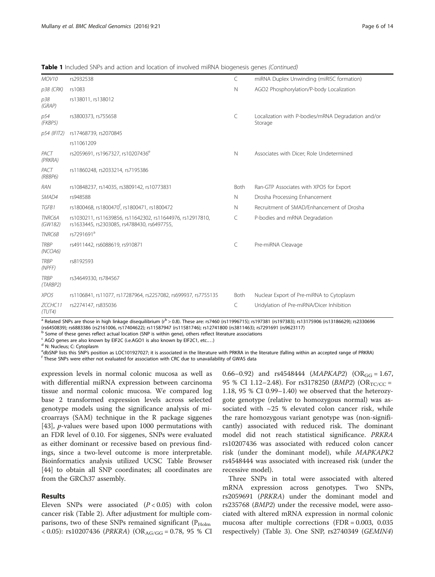|  |  |  | Table 1 Included SNPs and action and location of involved miRNA biogenesis genes (Continued) |  |  |
|--|--|--|----------------------------------------------------------------------------------------------|--|--|
|  |  |  |                                                                                              |  |  |

| MOV10                   | rs2932538                                                                                                 | C           | miRNA Duplex Unwinding (miRISC formation)                     |
|-------------------------|-----------------------------------------------------------------------------------------------------------|-------------|---------------------------------------------------------------|
| p38 (CRK)               | rs1083                                                                                                    | $\mathbb N$ | AGO2 Phosphorylation/P-body Localization                      |
| p38<br>(GRAP)           | rs138011, rs138012                                                                                        |             |                                                               |
| p54<br>(FKBP5)          | rs3800373, rs755658                                                                                       | C           | Localization with P-bodies/mRNA Degradation and/or<br>Storage |
| p54 (IFIT2)             | rs17468739, rs2070845                                                                                     |             |                                                               |
|                         | rs11061209                                                                                                |             |                                                               |
| PACT<br>(PRKRA)         | rs2059691, rs1967327, rs10207436 <sup>e</sup>                                                             | $\mathbb N$ | Associates with Dicer; Role Undetermined                      |
| PACT<br>(RBBP6)         | rs11860248, rs2033214, rs7195386                                                                          |             |                                                               |
| RAN                     | rs10848237, rs14035, rs3809142, rs10773831                                                                | Both        | Ran-GTP Associates with XPO5 for Export                       |
| SMAD4                   | rs948588                                                                                                  | $\mathbb N$ | Drosha Processing Enhancement                                 |
| TGFB1                   | rs1800468, rs1800470 <sup>f</sup> , rs1800471, rs1800472                                                  | $\mathbb N$ | Recruitment of SMAD/Enhancement of Drosha                     |
| TNRC6A<br>(GW182)       | rs1030211, rs11639856, rs11642302, rs11644976, rs12917810,<br>rs1633445, rs2303085, rs4788430, rs6497755, | C           | P-bodies and mRNA Degradation                                 |
| <b>TNRC6B</b>           | rs7291691ª                                                                                                |             |                                                               |
| <b>TRBP</b><br>(NCOA6)  | rs4911442, rs6088619, rs910871                                                                            | C           | Pre-miRNA Cleavage                                            |
| <b>TRBP</b><br>(NPFF)   | rs8192593                                                                                                 |             |                                                               |
| <b>TRBP</b><br>(TARBP2) | rs34649330, rs784567                                                                                      |             |                                                               |
| XPO5                    | rs1106841, rs11077, rs17287964, rs2257082, rs699937, rs7755135                                            | Both        | Nuclear Export of Pre-miRNA to Cytoplasm                      |
| ZCCHC11<br>(TUT4)       | rs2274147, rs835036                                                                                       | C           | Uridylation of Pre-miRNA/Dicer Inhibition                     |

<sup>a</sup> Related SNPs are those in high linkage diseguilibrium (r<sup>b</sup> > 0.8). These are: rs7460 (rs11996715); rs197381 (rs197383); rs13175906 (rs13186629); rs2330696 (rs6450839); rs6883386 (rs2161006, rs17404622); rs11587947 (rs11581746); rs12741800 (rs3811463); rs7291691 (rs9623117)

Some of these genes reflect actual location (SNP is within gene), others reflect literature associations

<sup>c</sup> AGO genes are also known by EIF2C (i.e.AGO1 is also known by EIF2C1, etc....) d N: Nucleus; C: Cytoplasm

<sup>e</sup>dbSNP lists this SNP's position as LOC101927027; it is associated in the literature with PRKRA in the literature (falling within an accepted range of PRKRA)<br><sup>f</sup> These SNPs were either not evaluated for association with

expression levels in normal colonic mucosa as well as with differential miRNA expression between carcinoma tissue and normal colonic mucosa. We compared log base 2 transformed expression levels across selected genotype models using the significance analysis of microarrays (SAM) technique in the R package siggenes [[43\]](#page-13-0), p-values were based upon 1000 permutations with an FDR level of 0.10. For siggenes, SNPs were evaluated as either dominant or recessive based on previous findings, since a two-level outcome is more interpretable. Bioinformatics analysis utilized UCSC Table Browser [[44\]](#page-13-0) to obtain all SNP coordinates; all coordinates are from the GRCh37 assembly.

## Results

Eleven SNPs were associated  $(P < 0.05)$  with colon cancer risk (Table [2](#page-6-0)). After adjustment for multiple comparisons, two of these SNPs remained significant ( $P_{\text{Holm}}$ )  $< 0.05$ ): rs10207436 (PRKRA) (OR<sub>AG/GG</sub> = 0.78, 95 % CI

0.66–0.92) and rs4548444  $(MAPKAP2)$   $(OR<sub>GG</sub> = 1.67,$ 95 % CI 1.12–2.48). For rs3178250 ( $BMP2$ ) ( $OR_{TC/CC}$  = 1.18, 95 % CI 0.99–1.40) we observed that the heterozygote genotype (relative to homozygous normal) was associated with ~25 % elevated colon cancer risk, while the rare homozygous variant genotype was (non-significantly) associated with reduced risk. The dominant model did not reach statistical significance. PRKRA rs10207436 was associated with reduced colon cancer risk (under the dominant model), while MAPKAPK2 rs4548444 was associated with increased risk (under the recessive model).

Three SNPs in total were associated with altered mRNA expression across genotypes. Two SNPs, rs2059691 (PRKRA) under the dominant model and rs235768 (BMP2) under the recessive model, were associated with altered mRNA expression in normal colonic mucosa after multiple corrections (FDR = 0.003, 0.035 respectively) (Table [3](#page-8-0)). One SNP, rs2740349 (GEMIN4)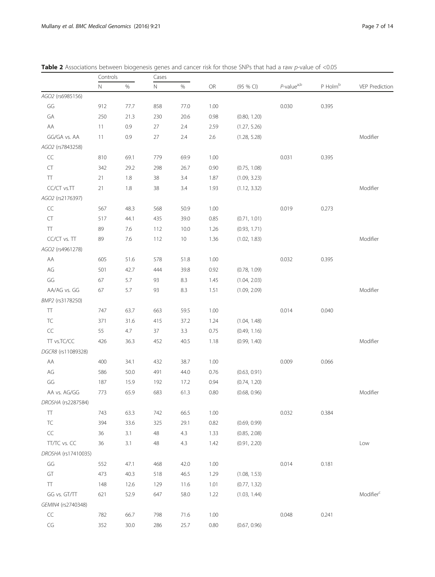|                     |             | Controls |            | Cases |      |              |                           |                     |                       |  |
|---------------------|-------------|----------|------------|-------|------|--------------|---------------------------|---------------------|-----------------------|--|
|                     | $\mathbb N$ | $\%$     | $\hbox{N}$ | $\%$  | OR   | (95 % CI)    | $P$ -value <sup>a,b</sup> | P Holm <sup>b</sup> | VEP Prediction        |  |
| AGO2 (rs6985156)    |             |          |            |       |      |              |                           |                     |                       |  |
| GG                  | 912         | 77.7     | 858        | 77.0  | 1.00 |              | 0.030                     | 0.395               |                       |  |
| GA                  | 250         | 21.3     | 230        | 20.6  | 0.98 | (0.80, 1.20) |                           |                     |                       |  |
| AA                  | 11          | 0.9      | 27         | 2.4   | 2.59 | (1.27, 5.26) |                           |                     |                       |  |
| GG/GA vs. AA        | 11          | 0.9      | $27\,$     | 2.4   | 2.6  | (1.28, 5.28) |                           |                     | Modifier              |  |
| AGO2 (rs7843258)    |             |          |            |       |      |              |                           |                     |                       |  |
| $\subset \subset$   | 810         | 69.1     | 779        | 69.9  | 1.00 |              | 0.031                     | 0.395               |                       |  |
| CT                  | 342         | 29.2     | 298        | 26.7  | 0.90 | (0.75, 1.08) |                           |                     |                       |  |
| $\top\top$          | 21          | 1.8      | 38         | 3.4   | 1.87 | (1.09, 3.23) |                           |                     |                       |  |
| CC/CT vs.TT         | 21          | 1.8      | 38         | 3.4   | 1.93 | (1.12, 3.32) |                           |                     | Modifier              |  |
| AGO2 (rs2176397)    |             |          |            |       |      |              |                           |                     |                       |  |
| CC                  | 567         | 48.3     | 568        | 50.9  | 1.00 |              | 0.019                     | 0.273               |                       |  |
| ${\sf CT}$          | 517         | 44.1     | 435        | 39.0  | 0.85 | (0.71, 1.01) |                           |                     |                       |  |
| $\top$              | 89          | 7.6      | 112        | 10.0  | 1.26 | (0.93, 1.71) |                           |                     |                       |  |
| CC/CT vs. TT        | 89          | 7.6      | 112        | $10$  | 1.36 | (1.02, 1.83) |                           |                     | Modifier              |  |
| AGO2 (rs4961278)    |             |          |            |       |      |              |                           |                     |                       |  |
| AA                  | 605         | 51.6     | 578        | 51.8  | 1.00 |              | 0.032                     | 0.395               |                       |  |
| $AG$                | 501         | 42.7     | 444        | 39.8  | 0.92 | (0.78, 1.09) |                           |                     |                       |  |
| GG                  | 67          | 5.7      | 93         | 8.3   | 1.45 | (1.04, 2.03) |                           |                     |                       |  |
| AA/AG vs. GG        | 67          | 5.7      | 93         | 8.3   | 1.51 | (1.09, 2.09) |                           |                     | Modifier              |  |
| BMP2 (rs3178250)    |             |          |            |       |      |              |                           |                     |                       |  |
| TΤ                  | 747         | 63.7     | 663        | 59.5  | 1.00 |              | 0.014                     | 0.040               |                       |  |
| TC                  | 371         | 31.6     | 415        | 37.2  | 1.24 | (1.04, 1.48) |                           |                     |                       |  |
| $\subset \subset$   | 55          | 4.7      | 37         | 3.3   | 0.75 | (0.49, 1.16) |                           |                     |                       |  |
| TT vs.TC/CC         | 426         | 36.3     | 452        | 40.5  | 1.18 | (0.99, 1.40) |                           |                     | Modifier              |  |
| DGCR8 (rs11089328)  |             |          |            |       |      |              |                           |                     |                       |  |
| AA                  | 400         | 34.1     | 432        | 38.7  | 1.00 |              | 0.009                     | 0.066               |                       |  |
| $AG$                | 586         | 50.0     | 491        | 44.0  | 0.76 | (0.63, 0.91) |                           |                     |                       |  |
| GG                  | 187         | 15.9     | 192        | 17.2  | 0.94 | (0.74, 1.20) |                           |                     |                       |  |
| AA vs. AG/GG        | 773         | 65.9     | 683        | 61.3  | 0.80 | (0.68, 0.96) |                           |                     | Modifier              |  |
| DROSHA (rs2287584)  |             |          |            |       |      |              |                           |                     |                       |  |
| $\top\top$          | 743         | 63.3     | 742        | 66.5  | 1.00 |              | 0.032                     | 0.384               |                       |  |
| TC                  | 394         | 33.6     | 325        | 29.1  | 0.82 | (0.69, 0.99) |                           |                     |                       |  |
| $\sf CC$            | 36          | 3.1      | 48         | 4.3   | 1.33 | (0.85, 2.08) |                           |                     |                       |  |
| TT/TC vs. CC        | 36          | 3.1      | 48         | 4.3   | 1.42 | (0.91, 2.20) |                           |                     | Low                   |  |
| DROSHA (rs17410035) |             |          |            |       |      |              |                           |                     |                       |  |
| GG                  | 552         | 47.1     | 468        | 42.0  | 1.00 |              | 0.014                     | 0.181               |                       |  |
| GT                  | 473         | 40.3     | 518        | 46.5  | 1.29 | (1.08, 1.53) |                           |                     |                       |  |
| $\top\top$          | 148         | 12.6     | 129        | 11.6  | 1.01 | (0.77, 1.32) |                           |                     |                       |  |
| GG vs. GT/TT        | 621         | 52.9     | 647        | 58.0  | 1.22 | (1.03, 1.44) |                           |                     | Modifier <sup>c</sup> |  |
| GEMIN4 (rs2740348)  |             |          |            |       |      |              |                           |                     |                       |  |
| CC                  | 782         | 66.7     | 798        | 71.6  | 1.00 |              | 0.048                     | 0.241               |                       |  |
| $C\mathsf{G}$       | 352         | 30.0     | 286        | 25.7  | 0.80 | (0.67, 0.96) |                           |                     |                       |  |

<span id="page-6-0"></span>Table 2 Associations between biogenesis genes and cancer risk for those SNPs that had a raw p-value of <0.05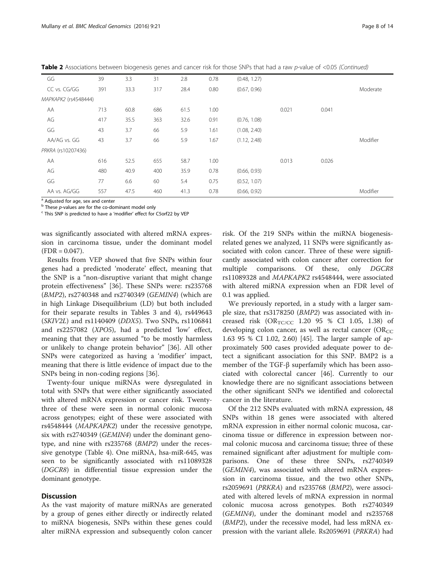| GG                   | 39  | 3.3  | 31  | 2.8  | 0.78 | (0.48, 1.27) |       |       |          |
|----------------------|-----|------|-----|------|------|--------------|-------|-------|----------|
| CC vs. CG/GG         | 391 | 33.3 | 317 | 28.4 | 0.80 | (0.67, 0.96) |       |       | Moderate |
| MAPKAPK2 (rs4548444) |     |      |     |      |      |              |       |       |          |
| AA                   | 713 | 60.8 | 686 | 61.5 | 1.00 |              | 0.021 | 0.041 |          |
| AG                   | 417 | 35.5 | 363 | 32.6 | 0.91 | (0.76, 1.08) |       |       |          |
| GG                   | 43  | 3.7  | 66  | 5.9  | 1.61 | (1.08, 2.40) |       |       |          |
| AA/AG vs. GG         | 43  | 3.7  | 66  | 5.9  | 1.67 | (1.12, 2.48) |       |       | Modifier |
| PRKRA (rs10207436)   |     |      |     |      |      |              |       |       |          |
| AA                   | 616 | 52.5 | 655 | 58.7 | 1.00 |              | 0.013 | 0.026 |          |
| AG                   | 480 | 40.9 | 400 | 35.9 | 0.78 | (0.66, 0.93) |       |       |          |
| GG                   | 77  | 6.6  | 60  | 5.4  | 0.75 | (0.52, 1.07) |       |       |          |
| AA vs. AG/GG         | 557 | 47.5 | 460 | 41.3 | 0.78 | (0.66, 0.92) |       |       | Modifier |

Table 2 Associations between biogenesis genes and cancer risk for those SNPs that had a raw p-value of <0.05 (Continued)

<sup>a</sup> Adjusted for age, sex and center<br> $\frac{b}{c}$  These *p*-values are for the co-dominant model only

 $\epsilon$  This SNP is predicted to have a 'modifier' effect for C5orf22 by VEP

was significantly associated with altered mRNA expression in carcinoma tissue, under the dominant model  $(FDR = 0.047)$ .

Results from VEP showed that five SNPs within four genes had a predicted 'moderate' effect, meaning that the SNP is a "non-disruptive variant that might change protein effectiveness" [[36\]](#page-13-0). These SNPs were: rs235768 (BMP2), rs2740348 and rs2740349 (GEMIN4) (which are in high Linkage Disequilibrium (LD) but both included for their separate results in Tables [3](#page-8-0) and [4\)](#page-11-0), rs449643 (SKIV2L) and rs1140409 (DDX5). Two SNPs, rs1106841 and rs2257082 (XPO5), had a predicted 'low' effect, meaning that they are assumed "to be mostly harmless or unlikely to change protein behavior" [[36\]](#page-13-0). All other SNPs were categorized as having a 'modifier' impact, meaning that there is little evidence of impact due to the SNPs being in non-coding regions [\[36\]](#page-13-0).

Twenty-four unique miRNAs were dysregulated in total with SNPs that were either significantly associated with altered mRNA expression or cancer risk. Twentythree of these were seen in normal colonic mucosa across genotypes; eight of these were associated with rs4548444 (MAPKAPK2) under the recessive genotype, six with rs2740349 (GEMIN4) under the dominant genotype, and nine with rs235768 (BMP2) under the recessive genotype (Table [4](#page-11-0)). One miRNA, hsa-miR-645, was seen to be significantly associated with rs11089328 (DGCR8) in differential tissue expression under the dominant genotype.

## **Discussion**

As the vast majority of mature miRNAs are generated by a group of genes either directly or indirectly related to miRNA biogenesis, SNPs within these genes could alter miRNA expression and subsequently colon cancer

risk. Of the 219 SNPs within the miRNA biogenesisrelated genes we analyzed, 11 SNPs were significantly associated with colon cancer. Three of these were significantly associated with colon cancer after correction for multiple comparisons. Of these, only DGCR8 rs11089328 and MAPKAPK2 rs4548444, were associated with altered miRNA expression when an FDR level of 0.1 was applied.

We previously reported, in a study with a larger sample size, that rs3178250 (BMP2) was associated with increased risk  $(OR_{TC/CC}$  1.20 95 % CI 1.05, 1.38) of developing colon cancer, as well as rectal cancer  $(OR_{CC}$ 1.63 95 % CI 1.02, 2.60) [\[45](#page-13-0)]. The larger sample of approximately 500 cases provided adequate power to detect a significant association for this SNP. BMP2 is a member of the TGF-β superfamily which has been associated with colorectal cancer [\[46](#page-13-0)]. Currently to our knowledge there are no significant associations between the other significant SNPs we identified and colorectal cancer in the literature.

Of the 212 SNPs evaluated with mRNA expression, 48 SNPs within 18 genes were associated with altered mRNA expression in either normal colonic mucosa, carcinoma tissue or difference in expression between normal colonic mucosa and carcinoma tissue; three of these remained significant after adjustment for multiple comparisons. One of these three SNPs, rs2740349 (GEMIN4), was associated with altered mRNA expression in carcinoma tissue, and the two other SNPs, rs2059691 (PRKRA) and rs235768 (BMP2), were associated with altered levels of mRNA expression in normal colonic mucosa across genotypes. Both rs2740349 (GEMIN4), under the dominant model and rs235768 (BMP2), under the recessive model, had less mRNA expression with the variant allele. Rs2059691 (PRKRA) had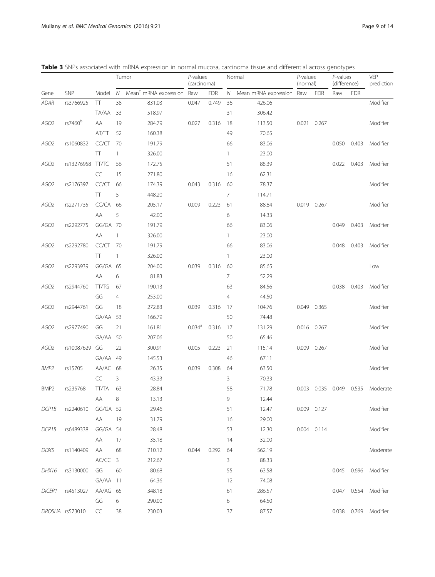|                  |                     |          | Tumor          | $P$ -values<br>(carcinoma)            |                 |            | Normal       | $P$ -values<br>(normal)  |       | $P$ -values<br>(difference) |             | VEP<br>prediction |                      |
|------------------|---------------------|----------|----------------|---------------------------------------|-----------------|------------|--------------|--------------------------|-------|-----------------------------|-------------|-------------------|----------------------|
| Gene             | SNP                 | Model    | $\mathcal N$   | Mean <sup>c</sup> mRNA expression Raw |                 | <b>FDR</b> | Ν            | Mean mRNA expression Raw |       | <b>FDR</b>                  | Raw         | <b>FDR</b>        |                      |
| <b>ADAR</b>      | rs3766925           | TΤ       | 38             | 831.03                                | 0.047           | 0.749      | 36           | 426.06                   |       |                             |             |                   | Modifier             |
|                  |                     | TA/AA    | 33             | 518.97                                |                 |            | 31           | 306.42                   |       |                             |             |                   |                      |
| AGO2             | rs7460 <sup>b</sup> | AA       | 19             | 284.79                                | 0.027           | 0.316      | 18           | 113.50                   |       | 0.021 0.267                 |             |                   | Modifier             |
|                  |                     | AT/TT    | 52             | 160.38                                |                 |            | 49           | 70.65                    |       |                             |             |                   |                      |
| AGO2             | rs1060832           | CC/CT    | 70             | 191.79                                |                 |            | 66           | 83.06                    |       |                             | 0.050       | 0.403             | Modifier             |
|                  |                     | TΤ       | $\overline{1}$ | 326.00                                |                 |            | 1            | 23.00                    |       |                             |             |                   |                      |
| AGO2             | rs13276958          | TT/TC    | 56             | 172.75                                |                 |            | 51           | 88.39                    |       |                             | 0.022       | 0.403             | Modifier             |
|                  |                     | CC       | 15             | 271.80                                |                 |            | 16           | 62.31                    |       |                             |             |                   |                      |
| AGO2             | rs2176397           | CC/CT    | 66             | 174.39                                | 0.043           | 0.316      | 60           | 78.37                    |       |                             |             |                   | Modifier             |
|                  |                     | TΤ       | 5              | 448.20                                |                 |            | 7            | 114.71                   |       |                             |             |                   |                      |
| AGO2             | rs2271735           | CC/CA 66 |                | 205.17                                | 0.009           | 0.223      | 61           | 88.84                    |       | 0.019 0.267                 |             |                   | Modifier             |
|                  |                     | AA       | 5              | 42.00                                 |                 |            | 6            | 14.33                    |       |                             |             |                   |                      |
| AGO2             | rs2292775           | GG/GA 70 |                | 191.79                                |                 |            | 66           | 83.06                    |       |                             | 0.049       | 0.403             | Modifier             |
|                  |                     | AA       | $\mathbf{1}$   | 326.00                                |                 |            | $\mathbf{1}$ | 23.00                    |       |                             |             |                   |                      |
| AGO2             | rs2292780           | CC/CT    | 70             | 191.79                                |                 |            | 66           | 83.06                    |       |                             | 0.048       | 0.403             | Modifier             |
|                  |                     | TΤ       | $\mathbf{1}$   | 326.00                                |                 |            | $\mathbf{1}$ | 23.00                    |       |                             |             |                   |                      |
| AGO2             | rs2293939           | GG/GA 65 |                | 204.00                                | 0.039           | 0.316      | 60           | 85.65                    |       |                             |             |                   | Low                  |
|                  |                     | AA       | 6              | 81.83                                 |                 |            | 7            | 52.29                    |       |                             |             |                   |                      |
| AGO2             | rs2944760           | TT/TG    | 67             | 190.13                                |                 |            | 63           | 84.56                    |       |                             | 0.038       | 0.403             | Modifier             |
|                  |                     | GG       | $\overline{4}$ | 253.00                                |                 |            | 4            | 44.50                    |       |                             |             |                   |                      |
| AGO2             | rs2944761           | GG       | 18             | 272.83                                | 0.039           | 0.316      | 17           | 104.76                   |       | 0.049 0.365                 |             |                   | Modifier             |
|                  |                     | GA/AA 53 |                | 166.79                                |                 |            | 50           | 74.48                    |       |                             |             |                   |                      |
| AGO2             | rs2977490           | GG       | 21             | 161.81                                | $0.034^{\rm a}$ | 0.316      | 17           | 131.29                   |       | 0.016 0.267                 |             |                   | Modifier             |
|                  |                     | GA/AA 50 |                | 207.06                                |                 |            | 50           | 65.46                    |       |                             |             |                   |                      |
| AGO2             | rs10087629          | GG       | 22             | 300.91                                | 0.005           | 0.223      | 21           | 115.14                   |       | 0.009 0.267                 |             |                   | Modifier             |
|                  |                     | GA/AA 49 |                | 145.53                                |                 |            | 46           | 67.11                    |       |                             |             |                   |                      |
| BMP2             | rs15705             | AA/AC 68 |                | 26.35                                 | 0.039           | 0.308      | 64           | 63.50                    |       |                             |             |                   | Modifier             |
|                  |                     | CC       | 3              | 43.33                                 |                 |            | 3            | 70.33                    |       |                             |             |                   |                      |
| BMP <sub>2</sub> | rs235768            | TT/TA 63 |                | 28.84                                 |                 |            | 58           | 71.78                    | 0.003 |                             | 0.035 0.049 | 0.535             | Moderate             |
|                  |                     | AA 8     |                | 13.13                                 |                 |            | 9            | 12.44                    |       |                             |             |                   |                      |
| DCP1B            | rs2240610           | GG/GA 52 |                | 29.46                                 |                 |            | 51           | 12.47                    |       | 0.009 0.127                 |             |                   | Modifier             |
|                  |                     | AA       | 19             | 31.79                                 |                 |            | 16           | 29.00                    |       |                             |             |                   |                      |
| DCP1B            | rs6489338           | GG/GA 54 |                | 28.48                                 |                 |            | 53           | 12.30                    |       | 0.004 0.114                 |             |                   | Modifier             |
|                  |                     | AA       | 17             | 35.18                                 |                 |            | 14           | 32.00                    |       |                             |             |                   |                      |
| DDX5             | rs1140409           | AA       | 68             | 710.12                                | 0.044           | 0.292      | 64           | 562.19                   |       |                             |             |                   | Moderate             |
|                  |                     | AC/CC 3  |                | 212.67                                |                 |            | 3            | 88.33                    |       |                             |             |                   |                      |
| DHX16            | rs3130000           | GG       | 60             | 80.68                                 |                 |            | 55           | 63.58                    |       |                             |             |                   | 0.045 0.696 Modifier |
|                  |                     | GA/AA 11 |                | 64.36                                 |                 |            | 12           | 74.08                    |       |                             |             |                   |                      |
| DICER1           | rs4513027           | AA/AG 65 |                | 348.18                                |                 |            | 61           | 286.57                   |       |                             | 0.047       |                   | 0.554 Modifier       |
|                  |                     | GG       | 6              | 290.00                                |                 |            | 6            | 64.50                    |       |                             |             |                   |                      |
|                  | DROSHA rs573010     | CC       | 38             | 230.03                                |                 |            | 37           | 87.57                    |       |                             |             |                   | 0.038 0.769 Modifier |

<span id="page-8-0"></span>Table 3 SNPs associated with mRNA expression in normal mucosa, carcinoma tissue and differential across genotypes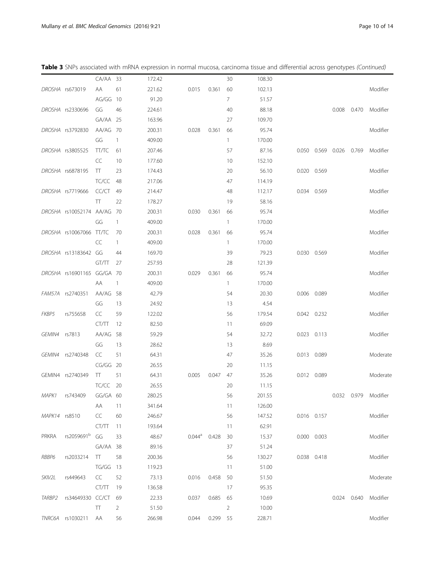| Table 3 SNPs associated with mRNA expression in normal mucosa, carcinoma tissue and differential across genotypes (Continued, |  |
|-------------------------------------------------------------------------------------------------------------------------------|--|
|-------------------------------------------------------------------------------------------------------------------------------|--|

|               |                            | CA/AA 33          |              | 172.42 |           |          | 30             | 108.30 |             |                     |             |       |          |
|---------------|----------------------------|-------------------|--------------|--------|-----------|----------|----------------|--------|-------------|---------------------|-------------|-------|----------|
|               | DROSHA rs673019            | ΑA                | 61           | 221.62 | 0.015     | 0.361    | 60             | 102.13 |             |                     |             |       | Modifier |
|               |                            | AG/GG 10          |              | 91.20  |           |          | 7              | 51.57  |             |                     |             |       |          |
|               | DROSHA rs2330696           | GG                | 46           | 224.61 |           |          | 40             | 88.18  |             |                     | 0.008       | 0.470 | Modifier |
|               |                            | GA/AA 25          |              | 163.96 |           |          | 27             | 109.70 |             |                     |             |       |          |
|               | DROSHA rs3792830           | AA/AG 70          |              | 200.31 | 0.028     | 0.361    | 66             | 95.74  |             |                     |             |       | Modifier |
|               |                            | GG                | 1            | 409.00 |           |          | $\mathbf{1}$   | 170.00 |             |                     |             |       |          |
|               | DROSHA rs3805525           | <b>TT/TC</b>      | 61           | 207.46 |           |          | 57             | 87.16  |             | 0.050  0.569  0.026 |             | 0.769 | Modifier |
|               |                            | $\subset \subset$ | 10           | 177.60 |           |          | 10             | 152.10 |             |                     |             |       |          |
|               | DROSHA rs6878195           | TΤ                | 23           | 174.43 |           |          | 20             | 56.10  | 0.020       | 0.569               |             |       | Modifier |
|               |                            | TC/CC             | 48           | 217.06 |           |          | 47             | 114.19 |             |                     |             |       |          |
|               | DROSHA rs7719666           | CC/CT             | 49           | 214.47 |           |          | 48             | 112.17 | 0.034 0.569 |                     |             |       | Modifier |
|               |                            | π                 | 22           | 178.27 |           |          | 19             | 58.16  |             |                     |             |       |          |
|               | DROSHA rs10052174 AA/AG 70 |                   |              | 200.31 | 0.030     | 0.361    | 66             | 95.74  |             |                     |             |       | Modifier |
|               |                            | GG                | $\mathbf{1}$ | 409.00 |           |          | $\mathbf{1}$   | 170.00 |             |                     |             |       |          |
|               | DROSHA rs10067066          | TT/TC             | 70           | 200.31 | 0.028     | 0.361    | 66             | 95.74  |             |                     |             |       | Modifier |
|               |                            | CC                | $\mathbf{1}$ | 409.00 |           |          | 1              | 170.00 |             |                     |             |       |          |
|               | DROSHA rs13183642 GG       |                   | 44           | 169.70 |           |          | 39             | 79.23  | 0.030 0.569 |                     |             |       | Modifier |
|               |                            | GT/TT             | 27           | 257.93 |           |          | 28             | 121.39 |             |                     |             |       |          |
|               | DROSHA rs16901165 GG/GA 70 |                   |              | 200.31 | 0.029     | 0.361    | 66             | 95.74  |             |                     |             |       | Modifier |
|               |                            | AA                | $\mathbf{1}$ | 409.00 |           |          | $\mathbf{1}$   | 170.00 |             |                     |             |       |          |
| FAM57A        | rs2740351                  | AA/AG 58          |              | 42.79  |           |          | 54             | 20.30  | 0.006       | 0.089               |             |       | Modifier |
|               |                            | GG                | 13           | 24.92  |           |          | 13             | 4.54   |             |                     |             |       |          |
| FKBP5         | rs755658                   | CC                | 59           | 122.02 |           |          | 56             | 179.54 | 0.042 0.232 |                     |             |       | Modifier |
|               |                            | CT/TT             | 12           | 82.50  |           |          | 11             | 69.09  |             |                     |             |       |          |
| GEMIN4        | rs7813                     | AA/AG             | 58           | 59.29  |           |          | 54             | 32.72  | 0.023 0.113 |                     |             |       | Modifier |
|               |                            | GG                | 13           | 28.62  |           |          | 13             | 8.69   |             |                     |             |       |          |
| GEMIN4        | rs2740348                  | CC                | 51           | 64.31  |           |          | 47             | 35.26  | 0.013       | 0.089               |             |       | Moderate |
|               |                            | CG/GG 20          |              | 26.55  |           |          | 20             | 11.15  |             |                     |             |       |          |
| GEMIN4        | rs2740349                  | TΤ                | 51           | 64.31  | 0.005     | 0.047    | 47             | 35.26  | 0.012 0.089 |                     |             |       | Moderate |
|               |                            | TC/CC             | 20           | 26.55  |           |          | 20             | 11.15  |             |                     |             |       |          |
| MAPK1         | rs743409                   | GG/GA 60          |              | 280.25 |           |          | 56             | 201.55 |             |                     | 0.032 0.979 |       | Modifier |
|               |                            | AA                | 11           | 341.64 |           |          | 11             | 126.00 |             |                     |             |       |          |
| MAPK14 rs8510 |                            | CC                | 60           | 246.67 |           |          | 56             | 147.52 | 0.016 0.157 |                     |             |       | Modifier |
|               |                            | CT/TT             | - 11         | 193.64 |           |          | 11             | 62.91  |             |                     |             |       |          |
| PRKRA         | rs2059691b                 | GG                | 33           | 48.67  | $0.044^d$ | 0.428    | 30             | 15.37  | 0.000 0.003 |                     |             |       | Modifier |
|               |                            | GA/AA 38          |              | 89.16  |           |          | 37             | 51.24  |             |                     |             |       |          |
| RBBP6         | rs2033214                  | T                 | 58           | 200.36 |           |          | 56             | 130.27 | 0.038 0.418 |                     |             |       | Modifier |
|               |                            | TG/GG 13          |              | 119.23 |           |          | 11             | 51.00  |             |                     |             |       |          |
| SKIV2L        | rs449643                   | CC                | 52           | 73.13  | 0.016     | 0.458    | 50             | 51.50  |             |                     |             |       | Moderate |
|               |                            | CT/TT             | - 19         | 136.58 |           |          | 17             | 95.35  |             |                     |             |       |          |
| TARBP2        | rs34649330 CC/CT           |                   | 69           | 22.33  | 0.037     | 0.685    | 65             | 10.69  |             |                     | 0.024 0.640 |       | Modifier |
|               |                            | TΤ                | 2            | 51.50  |           |          | $\overline{2}$ | 10.00  |             |                     |             |       |          |
| TNRC6A        | rs1030211                  | AA                | 56           | 266.98 | 0.044     | 0.299 55 |                | 228.71 |             |                     |             |       | Modifier |
|               |                            |                   |              |        |           |          |                |        |             |                     |             |       |          |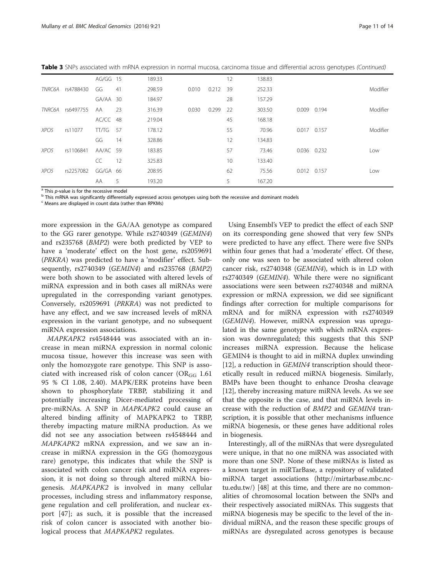|        | $\lambda = 1$ |          |    |        |       |       |    |        |             |          |
|--------|---------------|----------|----|--------|-------|-------|----|--------|-------------|----------|
|        |               | AA       | 5  | 193.20 |       |       | 5  | 167.20 |             |          |
| XPO5   | rs2257082     | GG/GA 66 |    | 208.95 |       |       | 62 | 75.56  | 0.012 0.157 | Low      |
|        |               | CC       | 12 | 325.83 |       |       | 10 | 133.40 |             |          |
| XPO5   | rs1106841     | AA/AC 59 |    | 183.85 |       |       | 57 | 73.46  | 0.036 0.232 | Low      |
|        |               | GG       | 14 | 328.86 |       |       | 12 | 134.83 |             |          |
| XPO5   | rs11077       | TT/TG 57 |    | 178.12 |       |       | 55 | 70.96  | 0.017 0.157 | Modifier |
|        |               | AC/CC 48 |    | 219.04 |       |       | 45 | 168.18 |             |          |
| TNRC6A | rs6497755     | AA       | 23 | 316.39 | 0.030 | 0.299 | 22 | 303.50 | 0.009 0.194 | Modifier |
|        |               | GA/AA 30 |    | 184.97 |       |       | 28 | 157.29 |             |          |
| TNRC6A | rs4788430     | GG       | 41 | 298.59 | 0.010 | 0.212 | 39 | 252.33 |             | Modifier |
|        |               | AG/GG 15 |    | 189.33 |       |       | 12 | 138.83 |             |          |

Table 3 SNPs associated with mRNA expression in normal mucosa, carcinoma tissue and differential across genotypes (Continued)

 $^{\rm a}$  This p-value is for the recessive model<br><sup>b</sup> This mRNA was significantly differentially expressed across genotypes using both the recessive and dominant models

<sup>c</sup> Means are displayed in count data (rather than RPKMs)

more expression in the GA/AA genotype as compared to the GG rarer genotype. While rs2740349 (GEMIN4) and rs235768 (BMP2) were both predicted by VEP to have a 'moderate' effect on the host gene, rs2059691 (PRKRA) was predicted to have a 'modifier' effect. Subsequently, rs2740349 (GEMIN4) and rs235768 (BMP2) were both shown to be associated with altered levels of miRNA expression and in both cases all miRNAs were upregulated in the corresponding variant genotypes. Conversely, rs2059691 (PRKRA) was not predicted to have any effect, and we saw increased levels of mRNA expression in the variant genotype, and no subsequent miRNA expression associations.

MAPKAPK2 rs4548444 was associated with an increase in mean miRNA expression in normal colonic mucosa tissue, however this increase was seen with only the homozygote rare genotype. This SNP is associated with increased risk of colon cancer ( $OR_{GG}$  1.61 95 % CI 1.08, 2.40). MAPK/ERK proteins have been shown to phosphorylate TRBP, stabilizing it and potentially increasing Dicer-mediated processing of pre-miRNAs. A SNP in MAPKAPK2 could cause an altered binding affinity of MAPKAPK2 to TRBP, thereby impacting mature miRNA production. As we did not see any association between rs4548444 and MAPKAPK2 mRNA expression, and we saw an increase in miRNA expression in the GG (homozygous rare) genotype, this indicates that while the SNP is associated with colon cancer risk and miRNA expression, it is not doing so through altered miRNA biogenesis. MAPKAPK2 is involved in many cellular processes, including stress and inflammatory response, gene regulation and cell proliferation, and nuclear export [\[47](#page-13-0)]; as such, it is possible that the increased risk of colon cancer is associated with another biological process that *MAPKAPK2* regulates.

Using Ensembl's VEP to predict the effect of each SNP on its corresponding gene showed that very few SNPs were predicted to have any effect. There were five SNPs within four genes that had a 'moderate' effect. Of these, only one was seen to be associated with altered colon cancer risk, rs2740348 (GEMIN4), which is in LD with rs2740349 (GEMIN4). While there were no significant associations were seen between rs2740348 and miRNA expression or mRNA expression, we did see significant findings after correction for multiple comparisons for mRNA and for miRNA expression with rs2740349 (GEMIN4). However, miRNA expression was upregulated in the same genotype with which mRNA expression was downregulated; this suggests that this SNP increases miRNA expression. Because the helicase GEMIN4 is thought to aid in miRNA duplex unwinding [[12\]](#page-13-0), a reduction in *GEMIN4* transcription should theoretically result in reduced miRNA biogenesis. Similarly, BMPs have been thought to enhance Drosha cleavage [[12\]](#page-13-0), thereby increasing mature miRNA levels. As we see that the opposite is the case, and that miRNA levels increase with the reduction of BMP2 and GEMIN4 transcription, it is possible that other mechanisms influence miRNA biogenesis, or these genes have additional roles in biogenesis.

Interestingly, all of the miRNAs that were dysregulated were unique, in that no one miRNA was associated with more than one SNP. None of these miRNAs is listed as a known target in miRTarBase, a repository of validated miRNA target associations ([http://mirtarbase.mbc.nc](http://mirtarbase.mbc.nctu.edu.tw/)[tu.edu.tw/](http://mirtarbase.mbc.nctu.edu.tw/)) [[48\]](#page-13-0) at this time, and there are no commonalities of chromosomal location between the SNPs and their respectively associated miRNAs. This suggests that miRNA biogenesis may be specific to the level of the individual miRNA, and the reason these specific groups of miRNAs are dysregulated across genotypes is because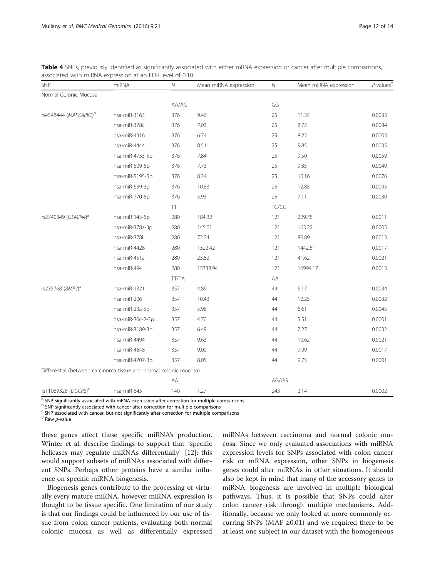| SNP                                                               | miRNA            | ${\cal N}$ | Mean miRNA expression | ${\cal N}$ | Mean miRNA expression | $P$ -values <sup>d</sup> |
|-------------------------------------------------------------------|------------------|------------|-----------------------|------------|-----------------------|--------------------------|
| Normal Colonic Mucosa                                             |                  |            |                       |            |                       |                          |
|                                                                   |                  | AA/AG      |                       | GG         |                       |                          |
| rs4548444 (MAPKAPK2) <sup>b</sup>                                 | hsa-miR-3163     | 376        | 9.46                  | 25         | 11.35                 | 0.0033                   |
|                                                                   | hsa-miR-378c     | 376        | 7.03                  | 25         | 8.72                  | 0.0084                   |
|                                                                   | hsa-miR-4316     | 376        | 6.74                  | 25         | 8.22                  | 0.0003                   |
|                                                                   | hsa-miR-4444     | 376        | 8.51                  | 25         | 9.85                  | 0.0035                   |
|                                                                   | hsa-miR-4753-5p  | 376        | 7.84                  | 25         | 9.50                  | 0.0059                   |
|                                                                   | hsa-miR-509-5p   | 376        | 7.73                  | 25         | 9.35                  | 0.0040                   |
|                                                                   | hsa-miR-5195-5p  | 376        | 8.24                  | 25         | 10.16                 | 0.0076                   |
|                                                                   | hsa-miR-659-3p   | 376        | 10.83                 | 25         | 12.85                 | 0.0095                   |
|                                                                   | hsa-miR-770-5p   | 376        | 5.93                  | 25         | 7.11                  | 0.0030                   |
|                                                                   |                  | $\top$     |                       | TC/CC      |                       |                          |
| rs2740349 (GEMIN4) <sup>a</sup>                                   | hsa-miR-145-5p   | 280        | 184.32                | 121        | 229.78                | 0.0011                   |
|                                                                   | hsa-miR-378a-3p  | 280        | 145.01                | 121        | 163.22                | 0.0005                   |
|                                                                   | hsa-miR-378i     | 280        | 72.24                 | 121        | 80.89                 | 0.0013                   |
|                                                                   | hsa-miR-4428     | 280        | 1322.42               | 121        | 1442.51               | 0.0017                   |
|                                                                   | hsa-miR-451a     | 280        | 23.52                 | 121        | 41.62                 | 0.0021                   |
|                                                                   | hsa-miR-494      | 280        | 15338.94              | 121        | 16994.17              | 0.0013                   |
|                                                                   |                  | TT/TA      |                       | AA         |                       |                          |
| rs235768 (BMP2) <sup>a</sup>                                      | hsa-miR-1321     | 357        | 4.89                  | 44         | 6.17                  | 0.0034                   |
|                                                                   | hsa-miR-206      | 357        | 10.43                 | 44         | 12.25                 | 0.0032                   |
|                                                                   | hsa-miR-23a-5p   | 357        | 5.98                  | 44         | 6.61                  | 0.0045                   |
|                                                                   | hsa-miR-30c-2-3p | 357        | 4.70                  | 44         | 5.51                  | 0.0001                   |
|                                                                   | hsa-miR-3189-3p  | 357        | 6.49                  | 44         | 7.27                  | 0.0032                   |
|                                                                   | hsa-miR-4494     | 357        | 9.63                  | 44         | 10.62                 | 0.0021                   |
|                                                                   | hsa-miR-4648     | 357        | 9.00                  | 44         | 9.99                  | 0.0017                   |
|                                                                   | hsa-miR-4707-3p  | 357        | 8.05                  | 44         | 9.75                  | 0.0001                   |
| Differential (between carcinoma tissue and normal colonic mucosa) |                  |            |                       |            |                       |                          |
|                                                                   |                  | AA         |                       | AG/GG      |                       |                          |
| rs11089328 (DGCR8) <sup>c</sup>                                   | hsa-miR-645      | 140        | 1.27                  | 243        | 2.14                  | 0.0002                   |

<span id="page-11-0"></span>Table 4 SNPs, previously identified as significantly associated with either mRNA expression or cancer after multiple comparisons, associated with miRNA expression at an FDR level of 0.10

<sup>a</sup> SNP significantly associated with mRNA expression after correction for multiple comparisons

b SNP significantly associated with cancer after correction for multiple comparisons

<sup>c</sup> SNP associated with cancer, but not significantly after correction for multiple comparisons

 $d$  Raw *p*-value

these genes affect these specific miRNA's production. Winter et al. describe findings to support that "specific helicases may regulate miRNAs differentially" [\[12](#page-13-0)]; this would support subsets of miRNAs associated with different SNPs. Perhaps other proteins have a similar influence on specific miRNA biogenesis.

Biogenesis genes contribute to the processing of virtually every mature miRNA, however miRNA expression is thought to be tissue specific. One limitation of our study is that our findings could be influenced by our use of tissue from colon cancer patients, evaluating both normal colonic mucosa as well as differentially expressed miRNAs between carcinoma and normal colonic mucosa. Since we only evaluated associations with miRNA expression levels for SNPs associated with colon cancer risk or mRNA expression, other SNPs in biogenesis genes could alter miRNAs in other situations. It should also be kept in mind that many of the accessory genes to miRNA biogenesis are involved in multiple biological pathways. Thus, it is possible that SNPs could alter colon cancer risk through multiple mechanisms. Additionally, because we only looked at more commonly occurring SNPs (MAF  $\geq$ 0.01) and we required there to be at least one subject in our dataset with the homogeneous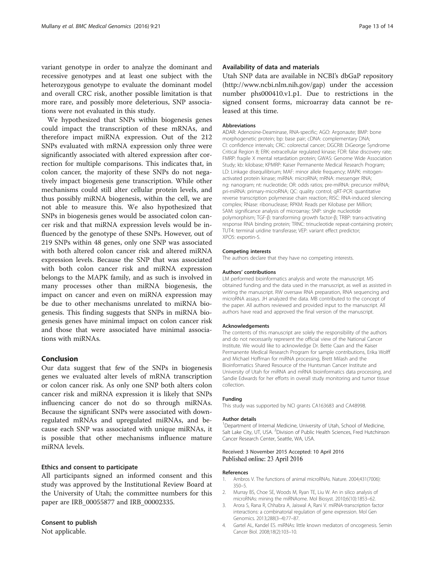<span id="page-12-0"></span>variant genotype in order to analyze the dominant and recessive genotypes and at least one subject with the heterozygous genotype to evaluate the dominant model and overall CRC risk, another possible limitation is that more rare, and possibly more deleterious, SNP associations were not evaluated in this study.

We hypothesized that SNPs within biogenesis genes could impact the transcription of these mRNAs, and therefore impact miRNA expression. Out of the 212 SNPs evaluated with mRNA expression only three were significantly associated with altered expression after correction for multiple comparisons. This indicates that, in colon cancer, the majority of these SNPs do not negatively impact biogenesis gene transcription. While other mechanisms could still alter cellular protein levels, and thus possibly miRNA biogenesis, within the cell, we are not able to measure this. We also hypothesized that SNPs in biogenesis genes would be associated colon cancer risk and that miRNA expression levels would be influenced by the genotype of these SNPs. However, out of 219 SNPs within 48 genes, only one SNP was associated with both altered colon cancer risk and altered miRNA expression levels. Because the SNP that was associated with both colon cancer risk and miRNA expression belongs to the MAPK family, and as such is involved in many processes other than miRNA biogenesis, the impact on cancer and even on miRNA expression may be due to other mechanisms unrelated to miRNA biogenesis. This finding suggests that SNPs in miRNA biogenesis genes have minimal impact on colon cancer risk and those that were associated have minimal associations with miRNAs.

## Conclusion

Our data suggest that few of the SNPs in biogenesis genes we evaluated alter levels of mRNA transcription or colon cancer risk. As only one SNP both alters colon cancer risk and miRNA expression it is likely that SNPs influencing cancer do not do so through miRNAs. Because the significant SNPs were associated with downregulated mRNAs and upregulated miRNAs, and because each SNP was associated with unique miRNAs, it is possible that other mechanisms influence mature miRNA levels.

## Ethics and consent to participate

All participants signed an informed consent and this study was approved by the Institutional Review Board at the University of Utah; the committee numbers for this paper are IRB\_00055877 and IRB\_00002335.

## Consent to publish

Not applicable.

## Availability of data and materials

Utah SNP data are available in NCBI's dbGaP repository (<http://www.ncbi.nlm.nih.gov/gap>) under the accession number phs000410.v1.p1. Due to restrictions in the signed consent forms, microarray data cannot be released at this time.

#### Abbreviations

ADAR: Adenosine-Deaminase, RNA-specific; AGO: Argonaute; BMP: bone morphogenetic protein; bp: base pair; cDNA: complementary DNA; CI: confidence intervals; CRC: colorectal cancer; DGCR8: DiGeorge Syndrome Critical Region 8; ERK: extracellular regulated kinase; FDR: false discovery rate; FMRP: fragile X mental retardation protein; GWAS: Genome Wide Association Study; kb: kilobase; KPMRP: Kaiser Permanente Medical Research Program; LD: Linkage disequilibrium; MAF: minor allele frequency; MAPK: mitogenactivated protein kinase; miRNA: microRNA; mRNA: messenger RNA; ng: nanogram; nt: nucleotide; OR: odds ratios; pre-miRNA: precursor miRNA; pri-miRNA: primary-microRNA; QC: quality control; qRT-PCR: quantitative reverse transcription polymerase chain reaction; RISC: RNA-induced silencing complex; RNase: ribonuclease; RPKM: Reads per Kilobase per Million; SAM: significance analysis of microarray; SNP: single nucleotide polymorphism; TGF-β: transforming growth factor-β; TRBP: trans-activating response RNA binding protein; TRNC: trinucleotide repeat-containing protein; TUT4: terminal uridine transferase; VEP: variant effect predictor; XPO5: exportin-5.

#### Competing interests

The authors declare that they have no competing interests.

#### Authors' contributions

LM performed bioinformatics analysis and wrote the manuscript. MS obtained funding and the data used in the manuscript, as well as assisted in writing the manuscript. RW oversaw RNA preparation, RNA sequencing and microRNA assays. JH analyzed the data. MB contributed to the concept of the paper. All authors reviewed and provided input to the manuscript. All authors have read and approved the final version of the manuscript.

#### Acknowledgements

The contents of this manuscript are solely the responsibility of the authors and do not necessarily represent the official view of the National Cancer Institute. We would like to acknowledge Dr. Bette Caan and the Kaiser Permanente Medical Research Program for sample contributions, Erika Wolff and Michael Hoffman for miRNA processing, Brett Milash and the Bioinformatics Shared Resource of the Huntsman Cancer Institute and University of Utah for miRNA and mRNA bioinformatics data processing, and Sandie Edwards for her efforts in overall study monitoring and tumor tissue collection.

#### Funding

This study was supported by NCI grants CA163683 and CA48998.

#### Author details

<sup>1</sup>Department of Internal Medicine, University of Utah, School of Medicine, Salt Lake City, UT, USA. <sup>2</sup> Division of Public Health Sciences, Fred Hutchinson Cancer Research Center, Seattle, WA, USA.

#### Received: 3 November 2015 Accepted: 10 April 2016 Published online: 23 April 2016

#### References

- 1. Ambros V. The functions of animal microRNAs. Nature. 2004;431(7006): 350–5.
- 2. Murray BS, Choe SE, Woods M, Ryan TE, Liu W. An in silico analysis of microRNAs: mining the miRNAome. Mol Biosyst. 2010;6(10):1853–62.
- 3. Arora S, Rana R, Chhabra A, Jaiswal A, Rani V. miRNA-transcription factor interactions: a combinatorial regulation of gene expression. Mol Gen Genomics. 2013;288(3–4):77–87.
- 4. Gartel AL, Kandel ES. miRNAs: little known mediators of oncogenesis. Semin Cancer Biol. 2008;18(2):103–10.